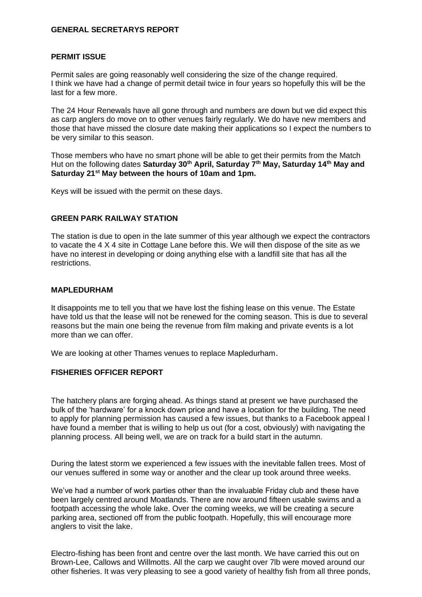# **GENERAL SECRETARYS REPORT**

## **PERMIT ISSUE**

Permit sales are going reasonably well considering the size of the change required. I think we have had a change of permit detail twice in four years so hopefully this will be the last for a few more.

The 24 Hour Renewals have all gone through and numbers are down but we did expect this as carp anglers do move on to other venues fairly regularly. We do have new members and those that have missed the closure date making their applications so I expect the numbers to be very similar to this season.

Those members who have no smart phone will be able to get their permits from the Match Hut on the following dates **Saturday 30th April, Saturday 7th May, Saturday 14th May and Saturday 21st May between the hours of 10am and 1pm.**

Keys will be issued with the permit on these days.

# **GREEN PARK RAILWAY STATION**

The station is due to open in the late summer of this year although we expect the contractors to vacate the 4 X 4 site in Cottage Lane before this. We will then dispose of the site as we have no interest in developing or doing anything else with a landfill site that has all the restrictions.

### **MAPLEDURHAM**

It disappoints me to tell you that we have lost the fishing lease on this venue. The Estate have told us that the lease will not be renewed for the coming season. This is due to several reasons but the main one being the revenue from film making and private events is a lot more than we can offer.

We are looking at other Thames venues to replace Mapledurham.

## **FISHERIES OFFICER REPORT**

The hatchery plans are forging ahead. As things stand at present we have purchased the bulk of the 'hardware' for a knock down price and have a location for the building. The need to apply for planning permission has caused a few issues, but thanks to a Facebook appeal I have found a member that is willing to help us out (for a cost, obviously) with navigating the planning process. All being well, we are on track for a build start in the autumn.

During the latest storm we experienced a few issues with the inevitable fallen trees. Most of our venues suffered in some way or another and the clear up took around three weeks.

We've had a number of work parties other than the invaluable Friday club and these have been largely centred around Moatlands. There are now around fifteen usable swims and a footpath accessing the whole lake. Over the coming weeks, we will be creating a secure parking area, sectioned off from the public footpath. Hopefully, this will encourage more anglers to visit the lake.

Electro-fishing has been front and centre over the last month. We have carried this out on Brown-Lee, Callows and Willmotts. All the carp we caught over 7lb were moved around our other fisheries. It was very pleasing to see a good variety of healthy fish from all three ponds,